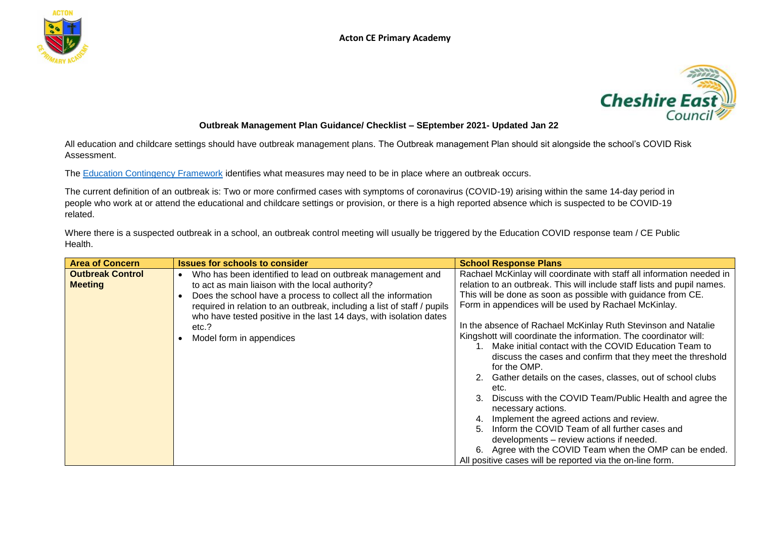



## **Outbreak Management Plan Guidance/ Checklist – SEptember 2021- Updated Jan 22**

All education and childcare settings should have outbreak management plans. The Outbreak management Plan should sit alongside the school's COVID Risk Assessment.

The [Education Contingency Framework](https://www.gov.uk/government/publications/coronavirus-covid-19-local-restrictions-in-education-and-childcare-settings/contingency-framework-education-and-childcare-settings) identifies what measures may need to be in place where an outbreak occurs.

The current definition of an outbreak is: Two or more confirmed cases with symptoms of coronavirus (COVID-19) arising within the same 14-day period in people who work at or attend the educational and childcare settings or provision, or there is a high reported absence which is suspected to be COVID-19 related.

Where there is a suspected outbreak in a school, an outbreak control meeting will usually be triggered by the Education COVID response team / CE Public Health.

| <b>Area of Concern</b>                    | <b>Issues for schools to consider</b>                                                                                                                                                                                                                                                                                                                                 | <b>School Response Plans</b>                                                                                                                                                                                                                                                                                                                                                                                                                                                                                                                                                                                                                                                                                                                                                                                                                                  |
|-------------------------------------------|-----------------------------------------------------------------------------------------------------------------------------------------------------------------------------------------------------------------------------------------------------------------------------------------------------------------------------------------------------------------------|---------------------------------------------------------------------------------------------------------------------------------------------------------------------------------------------------------------------------------------------------------------------------------------------------------------------------------------------------------------------------------------------------------------------------------------------------------------------------------------------------------------------------------------------------------------------------------------------------------------------------------------------------------------------------------------------------------------------------------------------------------------------------------------------------------------------------------------------------------------|
| <b>Outbreak Control</b><br><b>Meeting</b> | Who has been identified to lead on outbreak management and<br>to act as main liaison with the local authority?<br>Does the school have a process to collect all the information<br>required in relation to an outbreak, including a list of staff / pupils<br>who have tested positive in the last 14 days, with isolation dates<br>etc.?<br>Model form in appendices | Rachael McKinlay will coordinate with staff all information needed in<br>relation to an outbreak. This will include staff lists and pupil names.<br>This will be done as soon as possible with guidance from CE.<br>Form in appendices will be used by Rachael McKinlay.<br>In the absence of Rachael McKinlay Ruth Stevinson and Natalie<br>Kingshott will coordinate the information. The coordinator will:<br>Make initial contact with the COVID Education Team to<br>discuss the cases and confirm that they meet the threshold<br>for the OMP.<br>2. Gather details on the cases, classes, out of school clubs<br>etc.<br>3. Discuss with the COVID Team/Public Health and agree the<br>necessary actions.<br>4. Implement the agreed actions and review.<br>Inform the COVID Team of all further cases and<br>developments - review actions if needed. |
|                                           |                                                                                                                                                                                                                                                                                                                                                                       | 6. Agree with the COVID Team when the OMP can be ended.<br>All positive cases will be reported via the on-line form.                                                                                                                                                                                                                                                                                                                                                                                                                                                                                                                                                                                                                                                                                                                                          |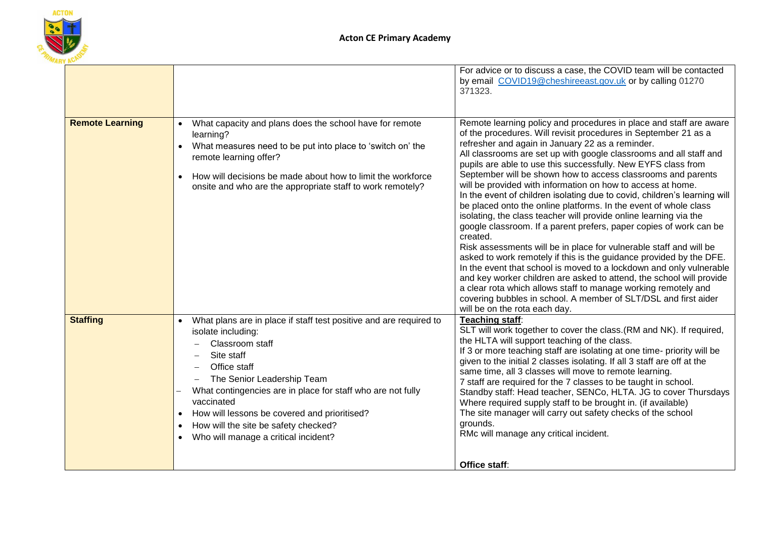

| <b>Remote Learning</b><br>What capacity and plans does the school have for remote<br>learning?<br>What measures need to be put into place to 'switch on' the<br>remote learning offer?<br>How will decisions be made about how to limit the workforce<br>onsite and who are the appropriate staff to work remotely?<br>created.<br><b>Staffing</b><br>What plans are in place if staff test positive and are required to<br>isolate including: | Remote learning policy and procedures in place and staff are aware                                                                                                                                                                                                                                                                                                                                                                                                                                                                                                                                                                                                                                                                                                                                                                                                                                                                                                                                                                                                                                                                                      |
|------------------------------------------------------------------------------------------------------------------------------------------------------------------------------------------------------------------------------------------------------------------------------------------------------------------------------------------------------------------------------------------------------------------------------------------------|---------------------------------------------------------------------------------------------------------------------------------------------------------------------------------------------------------------------------------------------------------------------------------------------------------------------------------------------------------------------------------------------------------------------------------------------------------------------------------------------------------------------------------------------------------------------------------------------------------------------------------------------------------------------------------------------------------------------------------------------------------------------------------------------------------------------------------------------------------------------------------------------------------------------------------------------------------------------------------------------------------------------------------------------------------------------------------------------------------------------------------------------------------|
|                                                                                                                                                                                                                                                                                                                                                                                                                                                | of the procedures. Will revisit procedures in September 21 as a<br>refresher and again in January 22 as a reminder.<br>All classrooms are set up with google classrooms and all staff and<br>pupils are able to use this successfully. New EYFS class from<br>September will be shown how to access classrooms and parents<br>will be provided with information on how to access at home.<br>In the event of children isolating due to covid, children's learning will<br>be placed onto the online platforms. In the event of whole class<br>isolating, the class teacher will provide online learning via the<br>google classroom. If a parent prefers, paper copies of work can be<br>Risk assessments will be in place for vulnerable staff and will be<br>asked to work remotely if this is the guidance provided by the DFE.<br>In the event that school is moved to a lockdown and only vulnerable<br>and key worker children are asked to attend, the school will provide<br>a clear rota which allows staff to manage working remotely and<br>covering bubbles in school. A member of SLT/DSL and first aider<br>will be on the rota each day. |
| Classroom staff<br>Site staff<br>Office staff<br>The Senior Leadership Team<br>What contingencies are in place for staff who are not fully<br>vaccinated<br>How will lessons be covered and prioritised?<br>grounds.<br>How will the site be safety checked?<br>Who will manage a critical incident?<br>Office staff:                                                                                                                          | Teaching staff:<br>SLT will work together to cover the class. (RM and NK). If required,<br>the HLTA will support teaching of the class.<br>If 3 or more teaching staff are isolating at one time- priority will be<br>given to the initial 2 classes isolating. If all 3 staff are off at the<br>same time, all 3 classes will move to remote learning.<br>7 staff are required for the 7 classes to be taught in school.<br>Standby staff: Head teacher, SENCo, HLTA. JG to cover Thursdays<br>Where required supply staff to be brought in. (if available)<br>The site manager will carry out safety checks of the school<br>RMc will manage any critical incident.                                                                                                                                                                                                                                                                                                                                                                                                                                                                                   |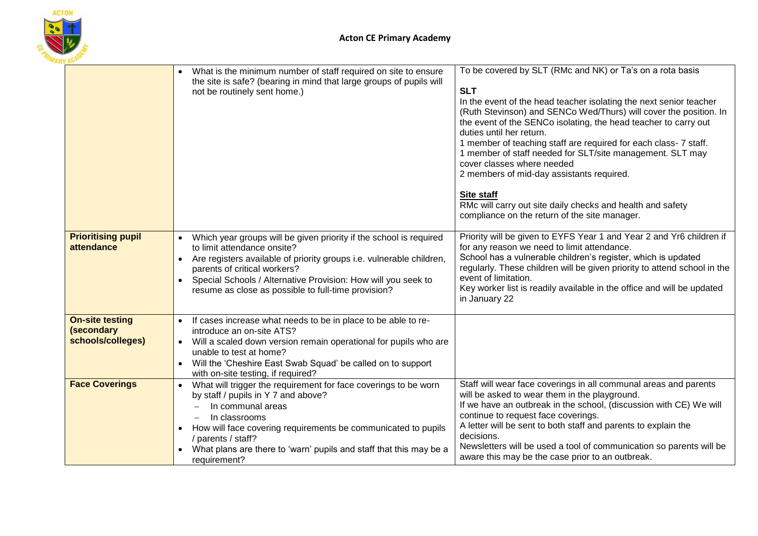

|                                                           | What is the minimum number of staff required on site to ensure<br>the site is safe? (bearing in mind that large groups of pupils will<br>not be routinely sent home.)                                                                                                                                                             | To be covered by SLT (RMc and NK) or Ta's on a rota basis<br><b>SLT</b><br>In the event of the head teacher isolating the next senior teacher<br>(Ruth Stevinson) and SENCo Wed/Thurs) will cover the position. In<br>the event of the SENCo isolating, the head teacher to carry out<br>duties until her return.<br>1 member of teaching staff are required for each class- 7 staff.<br>1 member of staff needed for SLT/site management. SLT may<br>cover classes where needed<br>2 members of mid-day assistants required.<br><b>Site staff</b><br>RMc will carry out site daily checks and health and safety<br>compliance on the return of the site manager. |
|-----------------------------------------------------------|-----------------------------------------------------------------------------------------------------------------------------------------------------------------------------------------------------------------------------------------------------------------------------------------------------------------------------------|-------------------------------------------------------------------------------------------------------------------------------------------------------------------------------------------------------------------------------------------------------------------------------------------------------------------------------------------------------------------------------------------------------------------------------------------------------------------------------------------------------------------------------------------------------------------------------------------------------------------------------------------------------------------|
| <b>Prioritising pupil</b><br>attendance                   | Which year groups will be given priority if the school is required<br>to limit attendance onsite?<br>Are registers available of priority groups i.e. vulnerable children,<br>parents of critical workers?<br>Special Schools / Alternative Provision: How will you seek to<br>resume as close as possible to full-time provision? | Priority will be given to EYFS Year 1 and Year 2 and Yr6 children if<br>for any reason we need to limit attendance.<br>School has a vulnerable children's register, which is updated<br>regularly. These children will be given priority to attend school in the<br>event of limitation.<br>Key worker list is readily available in the office and will be updated<br>in January 22                                                                                                                                                                                                                                                                               |
| <b>On-site testing</b><br>(secondary<br>schools/colleges) | If cases increase what needs to be in place to be able to re-<br>introduce an on-site ATS?<br>Will a scaled down version remain operational for pupils who are<br>unable to test at home?<br>Will the 'Cheshire East Swab Squad' be called on to support<br>with on-site testing, if required?                                    |                                                                                                                                                                                                                                                                                                                                                                                                                                                                                                                                                                                                                                                                   |
| <b>Face Coverings</b>                                     | What will trigger the requirement for face coverings to be worn<br>by staff / pupils in Y 7 and above?<br>In communal areas<br>In classrooms<br>How will face covering requirements be communicated to pupils<br>/ parents / staff?<br>What plans are there to 'warn' pupils and staff that this may be a<br>requirement?         | Staff will wear face coverings in all communal areas and parents<br>will be asked to wear them in the playground.<br>If we have an outbreak in the school, (discussion with CE) We will<br>continue to request face coverings.<br>A letter will be sent to both staff and parents to explain the<br>decisions.<br>Newsletters will be used a tool of communication so parents will be<br>aware this may be the case prior to an outbreak.                                                                                                                                                                                                                         |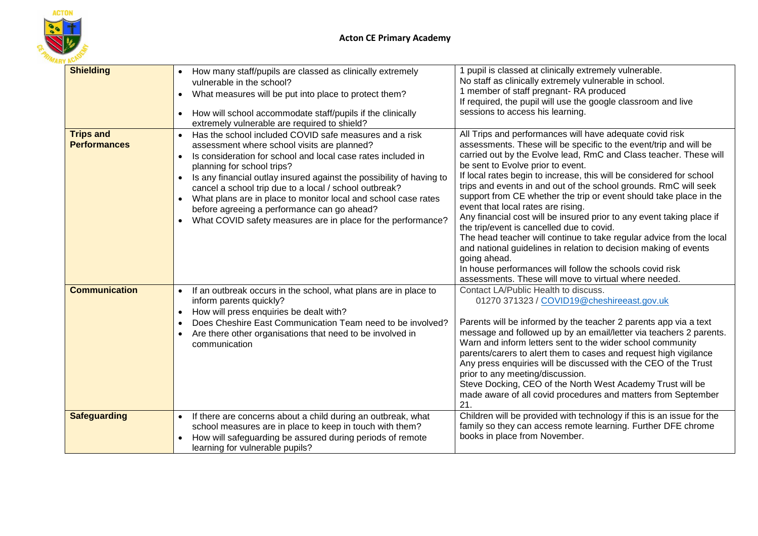

| <b>Shielding</b><br><b>Trips and</b><br><b>Performances</b> | • How many staff/pupils are classed as clinically extremely<br>vulnerable in the school?<br>What measures will be put into place to protect them?<br>$\bullet$<br>How will school accommodate staff/pupils if the clinically<br>extremely vulnerable are required to shield?<br>Has the school included COVID safe measures and a risk<br>assessment where school visits are planned?<br>Is consideration for school and local case rates included in<br>planning for school trips?<br>Is any financial outlay insured against the possibility of having to<br>$\bullet$<br>cancel a school trip due to a local / school outbreak?<br>What plans are in place to monitor local and school case rates<br>$\bullet$<br>before agreeing a performance can go ahead?<br>What COVID safety measures are in place for the performance? | 1 pupil is classed at clinically extremely vulnerable.<br>No staff as clinically extremely vulnerable in school.<br>1 member of staff pregnant-RA produced<br>If required, the pupil will use the google classroom and live<br>sessions to access his learning.<br>All Trips and performances will have adequate covid risk<br>assessments. These will be specific to the event/trip and will be<br>carried out by the Evolve lead, RmC and Class teacher. These will<br>be sent to Evolve prior to event.<br>If local rates begin to increase, this will be considered for school<br>trips and events in and out of the school grounds. RmC will seek<br>support from CE whether the trip or event should take place in the<br>event that local rates are rising.<br>Any financial cost will be insured prior to any event taking place if<br>the trip/event is cancelled due to covid.<br>The head teacher will continue to take regular advice from the local<br>and national guidelines in relation to decision making of events<br>going ahead.<br>In house performances will follow the schools covid risk<br>assessments. These will move to virtual where needed. |
|-------------------------------------------------------------|----------------------------------------------------------------------------------------------------------------------------------------------------------------------------------------------------------------------------------------------------------------------------------------------------------------------------------------------------------------------------------------------------------------------------------------------------------------------------------------------------------------------------------------------------------------------------------------------------------------------------------------------------------------------------------------------------------------------------------------------------------------------------------------------------------------------------------|---------------------------------------------------------------------------------------------------------------------------------------------------------------------------------------------------------------------------------------------------------------------------------------------------------------------------------------------------------------------------------------------------------------------------------------------------------------------------------------------------------------------------------------------------------------------------------------------------------------------------------------------------------------------------------------------------------------------------------------------------------------------------------------------------------------------------------------------------------------------------------------------------------------------------------------------------------------------------------------------------------------------------------------------------------------------------------------------------------------------------------------------------------------------------|
| <b>Communication</b>                                        | If an outbreak occurs in the school, what plans are in place to<br>$\bullet$<br>inform parents quickly?<br>How will press enquiries be dealt with?<br>$\bullet$<br>Does Cheshire East Communication Team need to be involved?<br>Are there other organisations that need to be involved in<br>communication                                                                                                                                                                                                                                                                                                                                                                                                                                                                                                                      | Contact LA/Public Health to discuss.<br>01270 371323 / COVID19@cheshireeast.gov.uk<br>Parents will be informed by the teacher 2 parents app via a text<br>message and followed up by an email/letter via teachers 2 parents.<br>Warn and inform letters sent to the wider school community<br>parents/carers to alert them to cases and request high vigilance<br>Any press enquiries will be discussed with the CEO of the Trust<br>prior to any meeting/discussion.<br>Steve Docking, CEO of the North West Academy Trust will be<br>made aware of all covid procedures and matters from September<br>21.                                                                                                                                                                                                                                                                                                                                                                                                                                                                                                                                                               |
| <b>Safeguarding</b>                                         | If there are concerns about a child during an outbreak, what<br>$\bullet$<br>school measures are in place to keep in touch with them?<br>How will safeguarding be assured during periods of remote<br>$\bullet$<br>learning for vulnerable pupils?                                                                                                                                                                                                                                                                                                                                                                                                                                                                                                                                                                               | Children will be provided with technology if this is an issue for the<br>family so they can access remote learning. Further DFE chrome<br>books in place from November.                                                                                                                                                                                                                                                                                                                                                                                                                                                                                                                                                                                                                                                                                                                                                                                                                                                                                                                                                                                                   |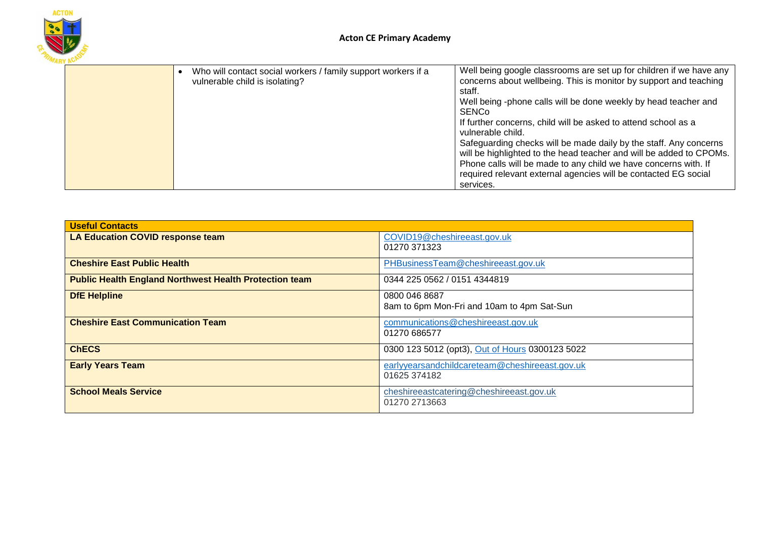

| Who will contact social workers / family support workers if a<br>vulnerable child is isolating? | Well being google classrooms are set up for children if we have any<br>concerns about wellbeing. This is monitor by support and teaching<br>staff.<br>Well being -phone calls will be done weekly by head teacher and<br><b>SENCo</b><br>If further concerns, child will be asked to attend school as a          |
|-------------------------------------------------------------------------------------------------|------------------------------------------------------------------------------------------------------------------------------------------------------------------------------------------------------------------------------------------------------------------------------------------------------------------|
|                                                                                                 | vulnerable child.<br>Safeguarding checks will be made daily by the staff. Any concerns<br>will be highlighted to the head teacher and will be added to CPOMs.<br>Phone calls will be made to any child we have concerns with. If<br>required relevant external agencies will be contacted EG social<br>services. |

| COVID19@cheshireeast.gov.uk<br>01270 371323<br>PHBusinessTeam@cheshireeast.gov.uk<br>0344 225 0562 / 0151 4344819<br>0800 046 8687<br>8am to 6pm Mon-Fri and 10am to 4pm Sat-Sun<br>communications@cheshireeast.gov.uk<br>01270 686577 |                                                               |  |
|----------------------------------------------------------------------------------------------------------------------------------------------------------------------------------------------------------------------------------------|---------------------------------------------------------------|--|
|                                                                                                                                                                                                                                        | <b>Useful Contacts</b>                                        |  |
|                                                                                                                                                                                                                                        | LA Education COVID response team                              |  |
|                                                                                                                                                                                                                                        |                                                               |  |
|                                                                                                                                                                                                                                        | <b>Cheshire East Public Health</b>                            |  |
|                                                                                                                                                                                                                                        | <b>Public Health England Northwest Health Protection team</b> |  |
|                                                                                                                                                                                                                                        | <b>DfE Helpline</b>                                           |  |
|                                                                                                                                                                                                                                        |                                                               |  |
|                                                                                                                                                                                                                                        | <b>Cheshire East Communication Team</b>                       |  |
|                                                                                                                                                                                                                                        |                                                               |  |
| 0300 123 5012 (opt3), Out of Hours 0300123 5022                                                                                                                                                                                        | <b>ChECS</b>                                                  |  |
| earlyyearsandchildcareteam@cheshireeast.gov.uk                                                                                                                                                                                         | <b>Early Years Team</b>                                       |  |
| 01625 374182                                                                                                                                                                                                                           |                                                               |  |
| cheshireeastcatering@cheshireeast.gov.uk                                                                                                                                                                                               | <b>School Meals Service</b>                                   |  |
| 01270 2713663                                                                                                                                                                                                                          |                                                               |  |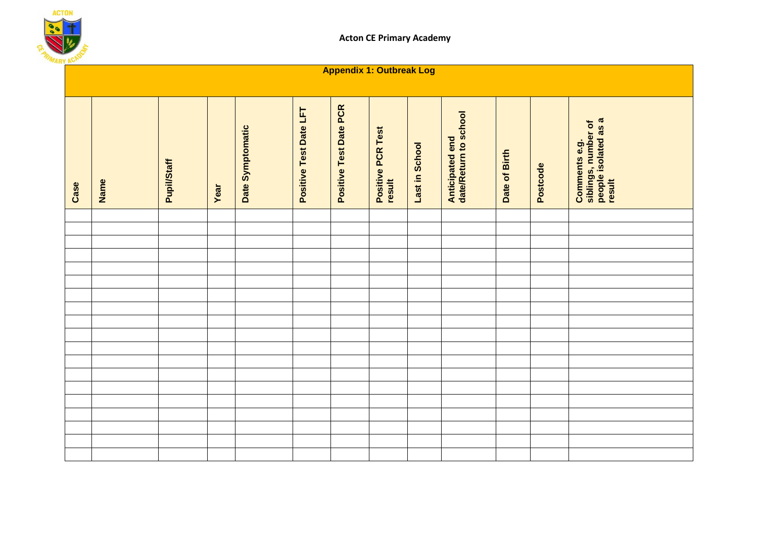

**Acton CE Primary Academy**

| <b>Appendix 1: Outbreak Log</b> |      |             |      |                  |                        |                        |                                    |                |                                          |               |          |                                                                        |
|---------------------------------|------|-------------|------|------------------|------------------------|------------------------|------------------------------------|----------------|------------------------------------------|---------------|----------|------------------------------------------------------------------------|
| Case                            | Name | Pupil/Staff | Year | Date Symptomatic | Positive Test Date LFT | Positive Test Date PCR | <b>Positive PCR Test</b><br>result | Last in School | Anticipated end<br>date/Return to school | Date of Birth | Postcode | siblings, number of<br>people isolated as a<br>Comments e.g.<br>result |
|                                 |      |             |      |                  |                        |                        |                                    |                |                                          |               |          |                                                                        |
|                                 |      |             |      |                  |                        |                        |                                    |                |                                          |               |          |                                                                        |
|                                 |      |             |      |                  |                        |                        |                                    |                |                                          |               |          |                                                                        |
|                                 |      |             |      |                  |                        |                        |                                    |                |                                          |               |          |                                                                        |
|                                 |      |             |      |                  |                        |                        |                                    |                |                                          |               |          |                                                                        |
|                                 |      |             |      |                  |                        |                        |                                    |                |                                          |               |          |                                                                        |
|                                 |      |             |      |                  |                        |                        |                                    |                |                                          |               |          |                                                                        |
|                                 |      |             |      |                  |                        |                        |                                    |                |                                          |               |          |                                                                        |
|                                 |      |             |      |                  |                        |                        |                                    |                |                                          |               |          |                                                                        |
|                                 |      |             |      |                  |                        |                        |                                    |                |                                          |               |          |                                                                        |
|                                 |      |             |      |                  |                        |                        |                                    |                |                                          |               |          |                                                                        |
|                                 |      |             |      |                  |                        |                        |                                    |                |                                          |               |          |                                                                        |
|                                 |      |             |      |                  |                        |                        |                                    |                |                                          |               |          |                                                                        |
|                                 |      |             |      |                  |                        |                        |                                    |                |                                          |               |          |                                                                        |
|                                 |      |             |      |                  |                        |                        |                                    |                |                                          |               |          |                                                                        |
|                                 |      |             |      |                  |                        |                        |                                    |                |                                          |               |          |                                                                        |
|                                 |      |             |      |                  |                        |                        |                                    |                |                                          |               |          |                                                                        |
|                                 |      |             |      |                  |                        |                        |                                    |                |                                          |               |          |                                                                        |